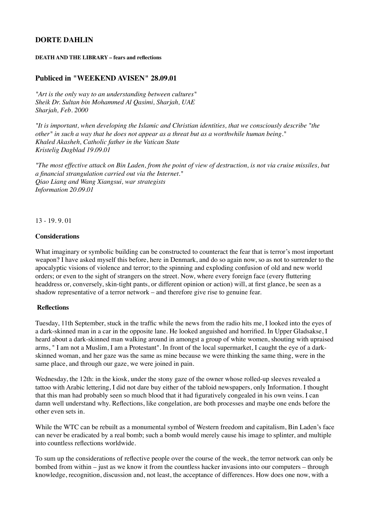# **DORTE DAHLIN**

#### **DEATH AND THE LIBRARY – fears and reflections**

## **Publiced in "WEEKEND AVISEN" 28.09.01**

*"Art is the only way to an understanding between cultures" Sheik Dr. Sultan bin Mohammed Al Qasimi, Sharjah, UAE Sharjah, Feb. 2000*

*"It is important, when developing the Islamic and Christian identities, that we consciously describe "the other" in such a way that he does not appear as a threat but as a worthwhile human being." Khaled Akasheh, Catholic father in the Vatican State Kristelig Dagblad 19.09.01*

*"The most effective attack on Bin Laden, from the point of view of destruction, is not via cruise missiles, but a financial strangulation carried out via the Internet." Qiao Liang and Wang Xiangsui, war strategists Information 20.09.01*

13 - 19. 9. 01

### **Considerations**

What imaginary or symbolic building can be constructed to counteract the fear that is terror's most important weapon? I have asked myself this before, here in Denmark, and do so again now, so as not to surrender to the apocalyptic visions of violence and terror; to the spinning and exploding confusion of old and new world orders; or even to the sight of strangers on the street. Now, where every foreign face (every fluttering headdress or, conversely, skin-tight pants, or different opinion or action) will, at first glance, be seen as a shadow representative of a terror network – and therefore give rise to genuine fear.

### **Reflections**

Tuesday, 11th September, stuck in the traffic while the news from the radio hits me, I looked into the eyes of a dark-skinned man in a car in the opposite lane. He looked anguished and horrified. In Upper Gladsakse, I heard about a dark-skinned man walking around in amongst a group of white women, shouting with upraised arms, " I am not a Muslim, I am a Protestant". In front of the local supermarket, I caught the eye of a darkskinned woman, and her gaze was the same as mine because we were thinking the same thing, were in the same place, and through our gaze, we were joined in pain.

Wednesday, the 12th: in the kiosk, under the stony gaze of the owner whose rolled-up sleeves revealed a tattoo with Arabic lettering, I did not dare buy either of the tabloid newspapers, only Information. I thought that this man had probably seen so much blood that it had figuratively congealed in his own veins. I can damn well understand why. Reflections, like congelation, are both processes and maybe one ends before the other even sets in.

While the WTC can be rebuilt as a monumental symbol of Western freedom and capitalism, Bin Laden's face can never be eradicated by a real bomb; such a bomb would merely cause his image to splinter, and multiple into countless reflections worldwide.

To sum up the considerations of reflective people over the course of the week, the terror network can only be bombed from within – just as we know it from the countless hacker invasions into our computers – through knowledge, recognition, discussion and, not least, the acceptance of differences. How does one now, with a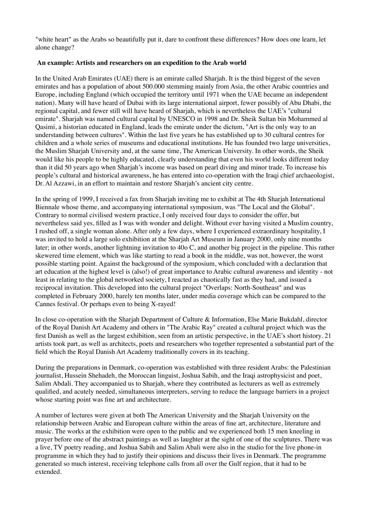"white heart" as the Arabs so beautifully put it, dare to confront these differences? How does one learn, let alone change?

## **An example: Artists and researchers on an expedition to the Arab world**

In the United Arab Emirates (UAE) there is an emirate called Sharjah. It is the third biggest of the seven emirates and has a population of about 500.000 stemming mainly from Asia, the other Arabic countries and Europe, including England (which occupied the territory until 1971 when the UAE became an independent nation). Many will have heard of Dubai with its large international airport, fewer possibly of Abu Dhabi, the regional capital, and fewer still will have heard of Sharjah, which is nevertheless the UAE's "cultural emirate". Sharjah was named cultural capital by UNESCO in 1998 and Dr. Sheik Sultan bin Mohammed al Qasimi, a historian educated in England, leads the emirate under the dictum, "Art is the only way to an understanding between cultures". Within the last five years he has established up to 30 cultural centres for children and a whole series of museums and educational institutions. He has founded two large universities, the Muslim Sharjah University and, at the same time, The American University. In other words, the Sheik would like his people to be highly educated, clearly understanding that even his world looks different today than it did 50 years ago when Sharjah's income was based on pearl diving and minor trade. To increase his people's cultural and historical awareness, he has entered into co-operation with the Iraqi chief archaeologist, Dr. Al Azzawi, in an effort to maintain and restore Sharjah's ancient city centre.

In the spring of 1999, I received a fax from Sharjah inviting me to exhibit at The 4th Sharjah International Biennale whose theme, and accompanying international symposium, was "The Local and the Global". Contrary to normal civilised western practice, I only received four days to consider the offer, but nevertheless said yes, filled as I was with wonder and delight. Without ever having visited a Muslim country, I rushed off, a single woman alone. After only a few days, where I experienced extraordinary hospitality, I was invited to hold a large solo exhibition at the Sharjah Art Museum in January 2000, only nine months later; in other words, another lightning invitation to 40o C, and another big project in the pipeline. This rather skewered time element, which was like starting to read a book in the middle, was not, however, the worst possible starting point. Against the background of the symposium, which concluded with a declaration that art education at the highest level is (also!) of great importance to Arabic cultural awareness and identity - not least in relating to the global networked society, I reacted as chaotically fast as they had, and issued a reciprocal invitation. This developed into the cultural project "Overlaps: North-Southeast" and was completed in February 2000, barely ten months later, under media coverage which can be compared to the Cannes festival. Or perhaps even to being X-rayed!

In close co-operation with the Sharjah Department of Culture & Information, Else Marie Bukdahl, director of the Royal Danish Art Academy and others in "The Arabic Ray" created a cultural project which was the first Danish as well as the largest exhibition, seen from an artistic perspective, in the UAE's short history. 21 artists took part, as well as architects, poets and researchers who together represented a substantial part of the field which the Royal Danish Art Academy traditionally covers in its teaching.

During the preparations in Denmark, co-operation was established with three resident Arabs: the Palestinian journalist, Hussein Shehadeh, the Moroccan linguist, Joshua Sabih, and the Iraqi astrophysicist and poet, Salim Abdali. They accompanied us to Sharjah, where they contributed as lecturers as well as extremely qualified, and acutely needed, simultaneous interpreters, serving to reduce the language barriers in a project whose starting point was fine art and architecture.

A number of lectures were given at both The American University and the Sharjah University on the relationship between Arabic and European culture within the areas of fine art, architecture, literature and music. The works at the exhibition were open to the public and we experienced both 15 men kneeling in prayer before one of the abstract paintings as well as laughter at the sight of one of the sculptures. There was a live, TV poetry reading, and Joshua Sabih and Salim Abali were also in the studio for the live phone-in programme in which they had to justify their opinions and discuss their lives in Denmark. The programme generated so much interest, receiving telephone calls from all over the Gulf region, that it had to be extended.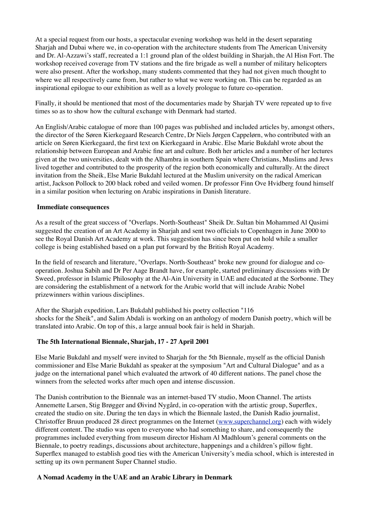At a special request from our hosts, a spectacular evening workshop was held in the desert separating Sharjah and Dubai where we, in co-operation with the architecture students from The American University and Dr. Al-Azzawi's staff, recreated a 1:1 ground plan of the oldest building in Sharjah, the Al Hisn Fort. The workshop received coverage from TV stations and the fire brigade as well a number of military helicopters were also present. After the workshop, many students commented that they had not given much thought to where we all respectively came from, but rather to what we were working on. This can be regarded as an inspirational epilogue to our exhibition as well as a lovely prologue to future co-operation.

Finally, it should be mentioned that most of the documentaries made by Sharjah TV were repeated up to five times so as to show how the cultural exchange with Denmark had started.

An English/Arabic catalogue of more than 100 pages was published and included articles by, amongst others, the director of the Søren Kierkegaard Research Centre, Dr Niels Jørgen Cappelørn, who contributed with an article on Søren Kierkegaard, the first text on Kierkegaard in Arabic. Else Marie Bukdahl wrote about the relationship between European and Arabic fine art and culture. Both her articles and a number of her lectures given at the two universities, dealt with the Alhambra in southern Spain where Christians, Muslims and Jews lived together and contributed to the prosperity of the region both economically and culturally. At the direct invitation from the Sheik, Else Marie Bukdahl lectured at the Muslim university on the radical American artist, Jackson Pollock to 200 black robed and veiled women. Dr professor Finn Ove Hvidberg found himself in a similar position when lecturing on Arabic inspirations in Danish literature.

### **Immediate consequences**

As a result of the great success of "Overlaps. North-Southeast" Sheik Dr. Sultan bin Mohammed Al Qasimi suggested the creation of an Art Academy in Sharjah and sent two officials to Copenhagen in June 2000 to see the Royal Danish Art Academy at work. This suggestion has since been put on hold while a smaller college is being established based on a plan put forward by the British Royal Academy.

In the field of research and literature, "Overlaps. North-Southeast" broke new ground for dialogue and cooperation. Joshua Sabih and Dr Per Aage Brandt have, for example, started preliminary discussions with Dr Sweed, professor in Islamic Philosophy at the Al-Ain University in UAE and educated at the Sorbonne. They are considering the establishment of a network for the Arabic world that will include Arabic Nobel prizewinners within various disciplines.

After the Sharjah expedition, Lars Bukdahl published his poetry collection "116 shocks for the Sheik", and Salim Abdali is working on an anthology of modern Danish poetry, which will be translated into Arabic. On top of this, a large annual book fair is held in Sharjah.

### **The 5th International Biennale, Sharjah, 17 - 27 April 2001**

Else Marie Bukdahl and myself were invited to Sharjah for the 5th Biennale, myself as the official Danish commissioner and Else Marie Bukdahl as speaker at the symposium "Art and Cultural Dialogue" and as a judge on the international panel which evaluated the artwork of 40 different nations. The panel chose the winners from the selected works after much open and intense discussion.

The Danish contribution to the Biennale was an internet-based TV studio, Moon Channel. The artists Annemette Larsen, Stig Brøgger and Øivind Nygård, in co-operation with the artistic group, Superflex, created the studio on site. During the ten days in which the Biennale lasted, the Danish Radio journalist, Christoffer Bruun produced 28 direct programmes on the Internet [\(www.superchannel.org\)](http://www.superchannel.org/) each with widely different content. The studio was open to everyone who had something to share, and consequently the programmes included everything from museum director Hisham Al Madhloum's general comments on the Biennale, to poetry readings, discussions about architecture, happenings and a children's pillow fight. Superflex managed to establish good ties with the American University's media school, which is interested in setting up its own permanent Super Channel studio.

### **A Nomad Academy in the UAE and an Arabic Library in Denmark**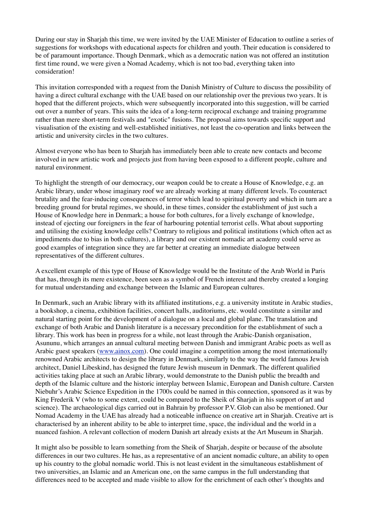During our stay in Sharjah this time, we were invited by the UAE Minister of Education to outline a series of suggestions for workshops with educational aspects for children and youth. Their education is considered to be of paramount importance. Though Denmark, which as a democratic nation was not offered an institution first time round, we were given a Nomad Academy, which is not too bad, everything taken into consideration!

This invitation corresponded with a request from the Danish Ministry of Culture to discuss the possibility of having a direct cultural exchange with the UAE based on our relationship over the previous two years. It is hoped that the different projects, which were subsequently incorporated into this suggestion, will be carried out over a number of years. This suits the idea of a long-term reciprocal exchange and training programme rather than mere short-term festivals and "exotic" fusions. The proposal aims towards specific support and visualisation of the existing and well-established initiatives, not least the co-operation and links between the artistic and university circles in the two cultures.

Almost everyone who has been to Sharjah has immediately been able to create new contacts and become involved in new artistic work and projects just from having been exposed to a different people, culture and natural environment.

To highlight the strength of our democracy, our weapon could be to create a House of Knowledge, e.g. an Arabic library, under whose imaginary roof we are already working at many different levels. To counteract brutality and the fear-inducing consequences of terror which lead to spiritual poverty and which in turn are a breeding ground for brutal regimes, we should, in these times, consider the establishment of just such a House of Knowledge here in Denmark; a house for both cultures, for a lively exchange of knowledge, instead of ejecting our foreigners in the fear of harbouring potential terrorist cells. What about supporting and utilising the existing knowledge cells? Contrary to religious and political institutions (which often act as impediments due to bias in both cultures), a library and our existent nomadic art academy could serve as good examples of integration since they are far better at creating an immediate dialogue between representatives of the different cultures.

A excellent example of this type of House of Knowledge would be the Institute of the Arab World in Paris that has, through its mere existence, been seen as a symbol of French interest and thereby created a longing for mutual understanding and exchange between the Islamic and European cultures.

In Denmark, such an Arabic library with its affiliated institutions, e.g. a university institute in Arabic studies, a bookshop, a cinema, exhibition facilities, concert halls, auditoriums, etc. would constitute a similar and natural starting point for the development of a dialogue on a local and global plane. The translation and exchange of both Arabic and Danish literature is a necessary precondition for the establishment of such a library. This work has been in progress for a while, not least through the Arabic-Danish organisation, Asununu, which arranges an annual cultural meeting between Danish and immigrant Arabic poets as well as Arabic guest speakers ([www.ainox.com\)](http://www.ainox.com/). One could imagine a competition among the most internationally renowned Arabic architects to design the library in Denmark, similarly to the way the world famous Jewish architect, Daniel Libeskind, has designed the future Jewish museum in Denmark. The different qualified activities taking place at such an Arabic library, would demonstrate to the Danish public the breadth and depth of the Islamic culture and the historic interplay between Islamic, European and Danish culture. Carsten Niebuhr's Arabic Science Expedition in the 1700s could be named in this connection, sponsored as it was by King Frederik V (who to some extent, could be compared to the Sheik of Sharjah in his support of art and science). The archaeological digs carried out in Bahrain by professor P.V. Glob can also be mentioned. Our Nomad Academy in the UAE has already had a noticeable influence on creative art in Sharjah. Creative art is characterised by an inherent ability to be able to interpret time, space, the individual and the world in a nuanced fashion. A relevant collection of modern Danish art already exists at the Art Museum in Sharjah.

It might also be possible to learn something from the Sheik of Sharjah, despite or because of the absolute differences in our two cultures. He has, as a representative of an ancient nomadic culture, an ability to open up his country to the global nomadic world. This is not least evident in the simultaneous establishment of two universities, an Islamic and an American one, on the same campus in the full understanding that differences need to be accepted and made visible to allow for the enrichment of each other's thoughts and